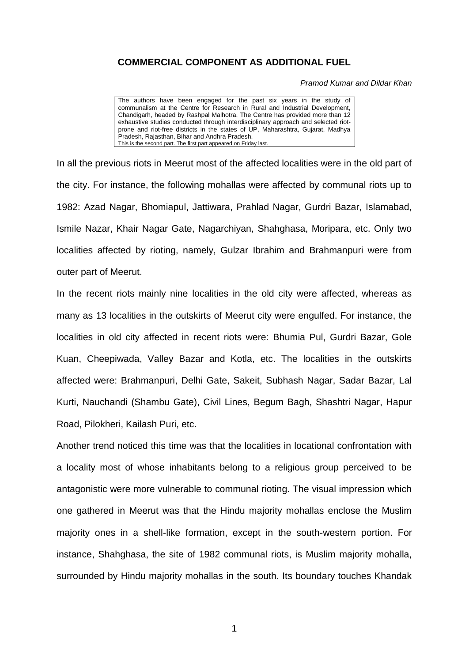## **COMMERCIAL COMPONENT AS ADDITIONAL FUEL**

*Pramod Kumar and Dildar Khan*

The authors have been engaged for the past six years in the study of communalism at the Centre for Research in Rural and Industrial Development, Chandigarh, headed by Rashpal Malhotra. The Centre has provided more than 12 exhaustive studies conducted through interdisciplinary approach and selected riotprone and riot-free districts in the states of UP, Maharashtra, Gujarat, Madhya Pradesh, Rajasthan, Bihar and Andhra Pradesh. This is the second part. The first part appeared on Friday last.

In all the previous riots in Meerut most of the affected localities were in the old part of the city. For instance, the following mohallas were affected by communal riots up to 1982: Azad Nagar, Bhomiapul, Jattiwara, Prahlad Nagar, Gurdri Bazar, Islamabad, Ismile Nazar, Khair Nagar Gate, Nagarchiyan, Shahghasa, Moripara, etc. Only two localities affected by rioting, namely, Gulzar Ibrahim and Brahmanpuri were from outer part of Meerut.

In the recent riots mainly nine localities in the old city were affected, whereas as many as 13 localities in the outskirts of Meerut city were engulfed. For instance, the localities in old city affected in recent riots were: Bhumia Pul, Gurdri Bazar, Gole Kuan, Cheepiwada, Valley Bazar and Kotla, etc. The localities in the outskirts affected were: Brahmanpuri, Delhi Gate, Sakeit, Subhash Nagar, Sadar Bazar, Lal Kurti, Nauchandi (Shambu Gate), Civil Lines, Begum Bagh, Shashtri Nagar, Hapur Road, Pilokheri, Kailash Puri, etc.

Another trend noticed this time was that the localities in locational confrontation with a locality most of whose inhabitants belong to a religious group perceived to be antagonistic were more vulnerable to communal rioting. The visual impression which one gathered in Meerut was that the Hindu majority mohallas enclose the Muslim majority ones in a shell-like formation, except in the south-western portion. For instance, Shahghasa, the site of 1982 communal riots, is Muslim majority mohalla, surrounded by Hindu majority mohallas in the south. Its boundary touches Khandak

1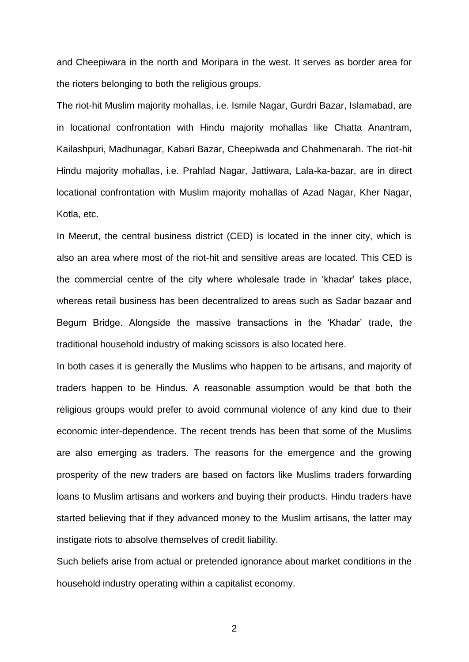and Cheepiwara in the north and Moripara in the west. It serves as border area for the rioters belonging to both the religious groups.

The riot-hit Muslim majority mohallas, i.e. Ismile Nagar, Gurdri Bazar, Islamabad, are in locational confrontation with Hindu majority mohallas like Chatta Anantram, Kailashpuri, Madhunagar, Kabari Bazar, Cheepiwada and Chahmenarah. The riot-hit Hindu majority mohallas, i.e. Prahlad Nagar, Jattiwara, Lala-ka-bazar, are in direct locational confrontation with Muslim majority mohallas of Azad Nagar, Kher Nagar, Kotla, etc.

In Meerut, the central business district (CED) is located in the inner city, which is also an area where most of the riot-hit and sensitive areas are located. This CED is the commercial centre of the city where wholesale trade in 'khadar' takes place, whereas retail business has been decentralized to areas such as Sadar bazaar and Begum Bridge. Alongside the massive transactions in the 'Khadar' trade, the traditional household industry of making scissors is also located here.

In both cases it is generally the Muslims who happen to be artisans, and majority of traders happen to be Hindus. A reasonable assumption would be that both the religious groups would prefer to avoid communal violence of any kind due to their economic inter-dependence. The recent trends has been that some of the Muslims are also emerging as traders. The reasons for the emergence and the growing prosperity of the new traders are based on factors like Muslims traders forwarding loans to Muslim artisans and workers and buying their products. Hindu traders have started believing that if they advanced money to the Muslim artisans, the latter may instigate riots to absolve themselves of credit liability.

Such beliefs arise from actual or pretended ignorance about market conditions in the household industry operating within a capitalist economy.

2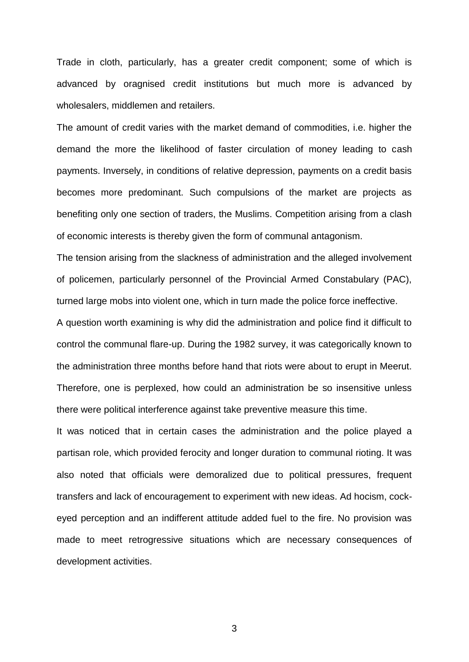Trade in cloth, particularly, has a greater credit component; some of which is advanced by oragnised credit institutions but much more is advanced by wholesalers, middlemen and retailers.

The amount of credit varies with the market demand of commodities, i.e. higher the demand the more the likelihood of faster circulation of money leading to cash payments. Inversely, in conditions of relative depression, payments on a credit basis becomes more predominant. Such compulsions of the market are projects as benefiting only one section of traders, the Muslims. Competition arising from a clash of economic interests is thereby given the form of communal antagonism.

The tension arising from the slackness of administration and the alleged involvement of policemen, particularly personnel of the Provincial Armed Constabulary (PAC), turned large mobs into violent one, which in turn made the police force ineffective.

A question worth examining is why did the administration and police find it difficult to control the communal flare-up. During the 1982 survey, it was categorically known to the administration three months before hand that riots were about to erupt in Meerut. Therefore, one is perplexed, how could an administration be so insensitive unless there were political interference against take preventive measure this time.

It was noticed that in certain cases the administration and the police played a partisan role, which provided ferocity and longer duration to communal rioting. It was also noted that officials were demoralized due to political pressures, frequent transfers and lack of encouragement to experiment with new ideas. Ad hocism, cockeyed perception and an indifferent attitude added fuel to the fire. No provision was made to meet retrogressive situations which are necessary consequences of development activities.

3